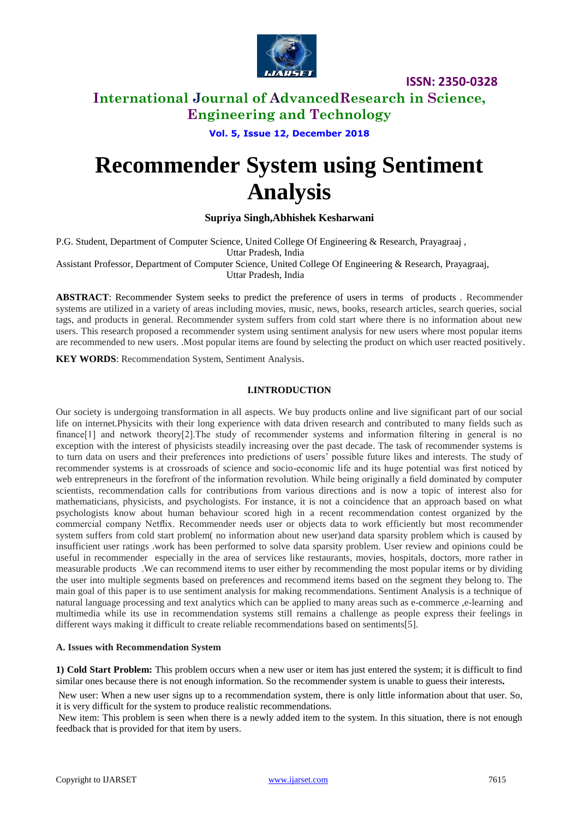

# **International Journal of AdvancedResearch in Science, Engineering and Technology**

**Vol. 5, Issue 12, December 2018**

# **Recommender System using Sentiment Analysis**

# **Supriya Singh,Abhishek Kesharwani**

P.G. Student, Department of Computer Science, United College Of Engineering & Research, Prayagraaj , Uttar Pradesh, India

Assistant Professor, Department of Computer Science, United College Of Engineering & Research, Prayagraaj, Uttar Pradesh, India

**ABSTRACT**: Recommender System seeks to predict the preference of users in terms of products . Recommender systems are utilized in a variety of areas including movies, music, news, books, research articles, search queries, social tags, and products in general. Recommender system suffers from cold start where there is no information about new users. This research proposed a recommender system using sentiment analysis for new users where most popular items are recommended to new users. .Most popular items are found by selecting the product on which user reacted positively.

**KEY WORDS**: Recommendation System, Sentiment Analysis.

## **I.INTRODUCTION**

Our society is undergoing transformation in all aspects. We buy products online and live significant part of our social life on internet.Physicits with their long experience with data driven research and contributed to many fields such as finance[1] and network theory[2].The study of recommender systems and information filtering in general is no exception with the interest of physicists steadily increasing over the past decade. The task of recommender systems is to turn data on users and their preferences into predictions of users' possible future likes and interests. The study of recommender systems is at crossroads of science and socio-economic life and its huge potential was first noticed by web entrepreneurs in the forefront of the information revolution. While being originally a field dominated by computer scientists, recommendation calls for contributions from various directions and is now a topic of interest also for mathematicians, physicists, and psychologists. For instance, it is not a coincidence that an approach based on what psychologists know about human behaviour scored high in a recent recommendation contest organized by the commercial company Netflix. Recommender needs user or objects data to work efficiently but most recommender system suffers from cold start problem( no information about new user)and data sparsity problem which is caused by insufficient user ratings .work has been performed to solve data sparsity problem. User review and opinions could be useful in recommender especially in the area of services like restaurants, movies, hospitals, doctors, more rather in measurable products .We can recommend items to user either by recommending the most popular items or by dividing the user into multiple segments based on preferences and recommend items based on the segment they belong to. The main goal of this paper is to use sentiment analysis for making recommendations. Sentiment Analysis is a technique of natural language processing and text analytics which can be applied to many areas such as e-commerce ,e-learning and multimedia while its use in recommendation systems still remains a challenge as people express their feelings in different ways making it difficult to create reliable recommendations based on sentiments[5].

## **A. Issues with Recommendation System**

**1) Cold Start Problem:** This problem occurs when a new user or item has just entered the system; it is difficult to find similar ones because there is not enough information. So the recommender system is unable to guess their interests*.*

New user: When a new user signs up to a recommendation system, there is only little information about that user. So, it is very difficult for the system to produce realistic recommendations.

New item: This problem is seen when there is a newly added item to the system. In this situation, there is not enough feedback that is provided for that item by users.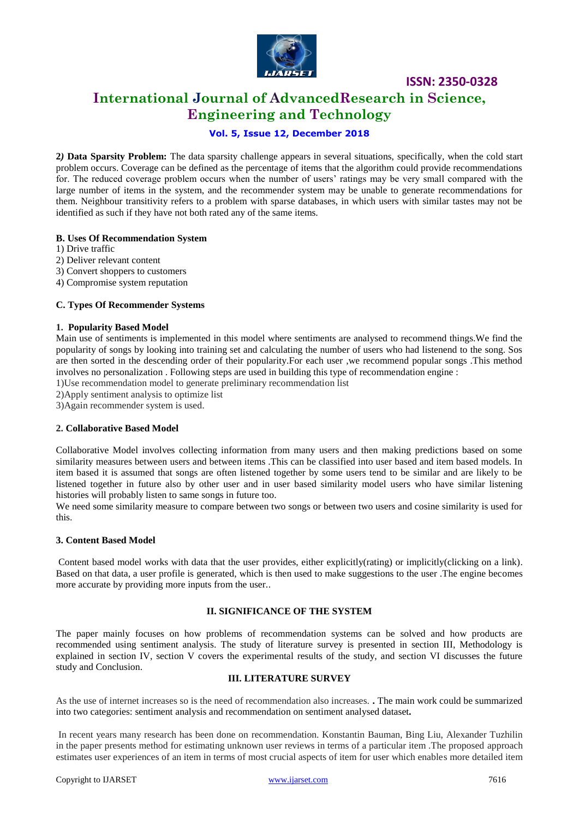

# **International Journal of AdvancedResearch in Science, Engineering and Technology**

# **Vol. 5, Issue 12, December 2018**

**2***)* **Data Sparsity Problem:** The data sparsity challenge appears in several situations, specifically, when the cold start problem occurs. Coverage can be defined as the percentage of items that the algorithm could provide recommendations for. The reduced coverage problem occurs when the number of users' ratings may be very small compared with the large number of items in the system, and the recommender system may be unable to generate recommendations for them. Neighbour transitivity refers to a problem with sparse databases, in which users with similar tastes may not be identified as such if they have not both rated any of the same items.

## **B. Uses Of Recommendation System**

- 1) Drive traffic
- 2) Deliver relevant content
- 3) Convert shoppers to customers
- 4) Compromise system reputation

#### **C. Types Of Recommender Systems**

## **1. Popularity Based Model**

Main use of sentiments is implemented in this model where sentiments are analysed to recommend things.We find the popularity of songs by looking into training set and calculating the number of users who had listenend to the song. Sos are then sorted in the descending order of their popularity.For each user ,we recommend popular songs .This method involves no personalization . Following steps are used in building this type of recommendation engine :

1)Use recommendation model to generate preliminary recommendation list

2)Apply sentiment analysis to optimize list

3)Again recommender system is used.

## **2. Collaborative Based Model**

Collaborative Model involves collecting information from many users and then making predictions based on some similarity measures between users and between items .This can be classified into user based and item based models. In item based it is assumed that songs are often listened together by some users tend to be similar and are likely to be listened together in future also by other user and in user based similarity model users who have similar listening histories will probably listen to same songs in future too.

We need some similarity measure to compare between two songs or between two users and cosine similarity is used for this.

#### **3. Content Based Model**

Content based model works with data that the user provides, either explicitly(rating) or implicitly(clicking on a link). Based on that data, a user profile is generated, which is then used to make suggestions to the user .The engine becomes more accurate by providing more inputs from the user..

## **II. SIGNIFICANCE OF THE SYSTEM**

The paper mainly focuses on how problems of recommendation systems can be solved and how products are recommended using sentiment analysis. The study of literature survey is presented in section III, Methodology is explained in section IV, section V covers the experimental results of the study, and section VI discusses the future study and Conclusion.

## **III. LITERATURE SURVEY**

As the use of internet increases so is the need of recommendation also increases. **.** The main work could be summarized into two categories: sentiment analysis and recommendation on sentiment analysed dataset*.*

In recent years many research has been done on recommendation. Konstantin Bauman, Bing Liu, Alexander Tuzhilin in the paper presents method for estimating unknown user reviews in terms of a particular item .The proposed approach estimates user experiences of an item in terms of most crucial aspects of item for user which enables more detailed item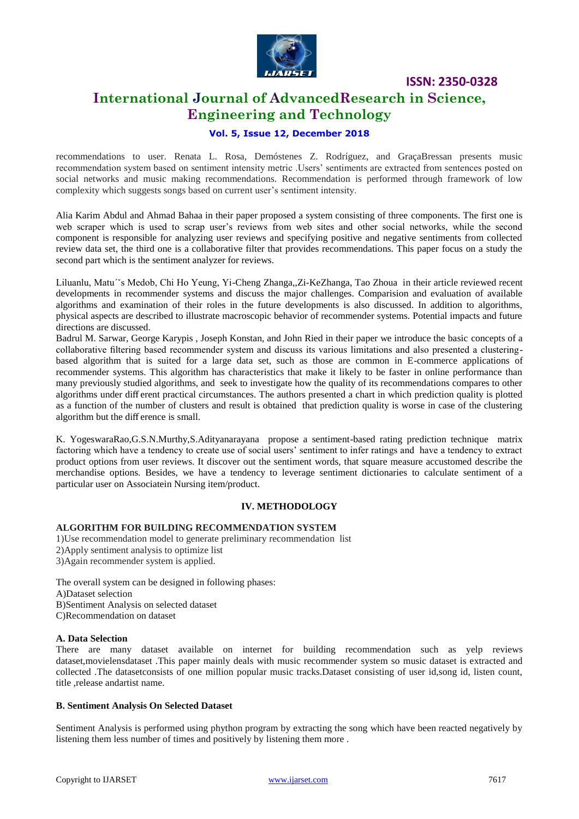

# **International Journal of AdvancedResearch in Science, Engineering and Technology**

## **Vol. 5, Issue 12, December 2018**

recommendations to user. Renata L. Rosa, Demóstenes Z. Rodríguez, and GraçaBressan presents music recommendation system based on sentiment intensity metric .Users' sentiments are extracted from sentences posted on social networks and music making recommendations. Recommendation is performed through framework of low complexity which suggests songs based on current user's sentiment intensity.

Alia Karim Abdul and Ahmad Bahaa in their paper proposed a system consisting of three components. The first one is web scraper which is used to scrap user's reviews from web sites and other social networks, while the second component is responsible for analyzing user reviews and specifying positive and negative sentiments from collected review data set, the third one is a collaborative filter that provides recommendations. This paper focus on a study the second part which is the sentiment analyzer for reviews.

Liluanlu, Matu´ˇs Medob, Chi Ho Yeung, Yi-Cheng Zhanga,,Zi-KeZhanga, Tao Zhoua in their article reviewed recent developments in recommender systems and discuss the major challenges. Comparision and evaluation of available algorithms and examination of their roles in the future developments is also discussed. In addition to algorithms, physical aspects are described to illustrate macroscopic behavior of recommender systems. Potential impacts and future directions are discussed.

Badrul M. Sarwar, George Karypis , Joseph Konstan, and John Ried in their paper we introduce the basic concepts of a collaborative filtering based recommender system and discuss its various limitations and also presented a clusteringbased algorithm that is suited for a large data set, such as those are common in E-commerce applications of recommender systems. This algorithm has characteristics that make it likely to be faster in online performance than many previously studied algorithms, and seek to investigate how the quality of its recommendations compares to other algorithms under diff erent practical circumstances. The authors presented a chart in which prediction quality is plotted as a function of the number of clusters and result is obtained that prediction quality is worse in case of the clustering algorithm but the diff erence is small.

K. YogeswaraRao,G.S.N.Murthy,S.Adityanarayana propose a sentiment-based rating prediction technique matrix factoring which have a tendency to create use of social users' sentiment to infer ratings and have a tendency to extract product options from user reviews. It discover out the sentiment words, that square measure accustomed describe the merchandise options. Besides, we have a tendency to leverage sentiment dictionaries to calculate sentiment of a particular user on Associatein Nursing item/product.

#### **IV. METHODOLOGY**

## **ALGORITHM FOR BUILDING RECOMMENDATION SYSTEM**

1)Use recommendation model to generate preliminary recommendation list

- 2)Apply sentiment analysis to optimize list
- 3)Again recommender system is applied.

The overall system can be designed in following phases: A)Dataset selection

B)Sentiment Analysis on selected dataset

C)Recommendation on dataset

## **A. Data Selection**

There are many dataset available on internet for building recommendation such as yelp reviews dataset,movielensdataset .This paper mainly deals with music recommender system so music dataset is extracted and collected .The datasetconsists of one million popular music tracks.Dataset consisting of user id,song id, listen count, title ,release andartist name.

## **B. Sentiment Analysis On Selected Dataset**

Sentiment Analysis is performed using phython program by extracting the song which have been reacted negatively by listening them less number of times and positively by listening them more .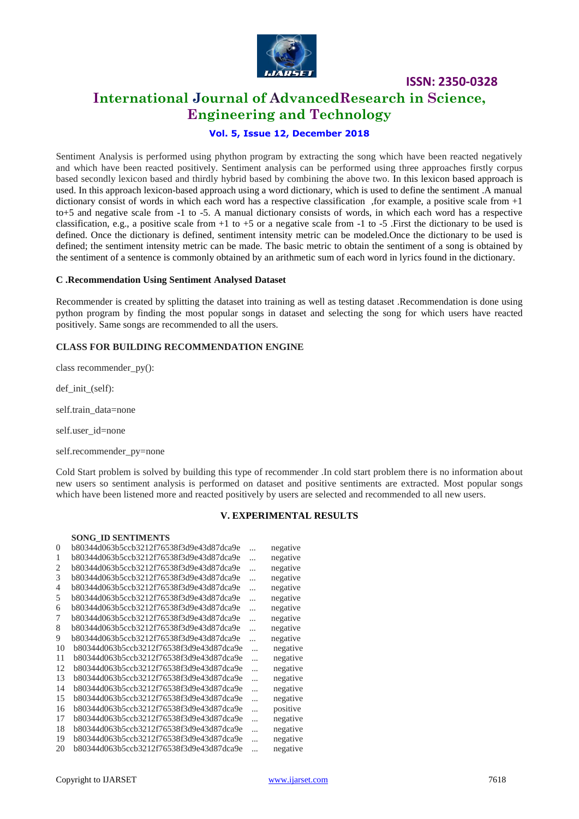

# **International Journal of AdvancedResearch in Science, Engineering and Technology**

# **Vol. 5, Issue 12, December 2018**

Sentiment Analysis is performed using phython program by extracting the song which have been reacted negatively and which have been reacted positively. Sentiment analysis can be performed using three approaches firstly corpus based secondly lexicon based and thirdly hybrid based by combining the above two. In this lexicon based approach is used. In this approach lexicon-based approach using a word dictionary, which is used to define the sentiment .A manual dictionary consist of words in which each word has a respective classification ,for example, a positive scale from +1 to+5 and negative scale from -1 to -5. A manual dictionary consists of words, in which each word has a respective classification, e.g., a positive scale from  $+1$  to  $+5$  or a negative scale from  $-1$  to  $-5$ . First the dictionary to be used is defined. Once the dictionary is defined, sentiment intensity metric can be modeled.Once the dictionary to be used is defined; the sentiment intensity metric can be made. The basic metric to obtain the sentiment of a song is obtained by the sentiment of a sentence is commonly obtained by an arithmetic sum of each word in lyrics found in the dictionary.

#### **C .Recommendation Using Sentiment Analysed Dataset**

Recommender is created by splitting the dataset into training as well as testing dataset .Recommendation is done using python program by finding the most popular songs in dataset and selecting the song for which users have reacted positively. Same songs are recommended to all the users.

## **CLASS FOR BUILDING RECOMMENDATION ENGINE**

class recommender\_py():

def init (self):

self.train\_data=none

self.user\_id=none

self.recommender\_py=none

Cold Start problem is solved by building this type of recommender .In cold start problem there is no information about new users so sentiment analysis is performed on dataset and positive sentiments are extracted. Most popular songs which have been listened more and reacted positively by users are selected and recommended to all new users.

#### **V. EXPERIMENTAL RESULTS**

#### **SONG\_ID SENTIMENTS**

| $\theta$ | b80344d063b5ccb3212f76538f3d9e43d87dca9e | $\ddotsc$ | negative |
|----------|------------------------------------------|-----------|----------|
| 1        | b80344d063b5ccb3212f76538f3d9e43d87dca9e | $\ddotsc$ | negative |
| 2        | b80344d063b5ccb3212f76538f3d9e43d87dca9e | $\ddotsc$ | negative |
| 3        | b80344d063b5ccb3212f76538f3d9e43d87dca9e | $\ddotsc$ | negative |
| 4        | b80344d063b5ccb3212f76538f3d9e43d87dca9e | $\ddotsc$ | negative |
| 5        | b80344d063b5ccb3212f76538f3d9e43d87dca9e | $\ddotsc$ | negative |
| 6        | b80344d063b5ccb3212f76538f3d9e43d87dca9e | $\ddotsc$ | negative |
| 7        | b80344d063b5ccb3212f76538f3d9e43d87dca9e | $\ddotsc$ | negative |
| 8        | b80344d063b5ccb3212f76538f3d9e43d87dca9e | $\ddotsc$ | negative |
| 9        | b80344d063b5ccb3212f76538f3d9e43d87dca9e | $\ddotsc$ | negative |
| 10       | b80344d063b5ccb3212f76538f3d9e43d87dca9e | $\ddotsc$ | negative |
| 11       | b80344d063b5ccb3212f76538f3d9e43d87dca9e | $\cdots$  | negative |
| 12       | b80344d063b5ccb3212f76538f3d9e43d87dca9e | $\ddotsc$ | negative |
| 13       | b80344d063b5ccb3212f76538f3d9e43d87dca9e | $\ddotsc$ | negative |
| 14       | b80344d063b5ccb3212f76538f3d9e43d87dca9e | $\cdots$  | negative |
| 15       | b80344d063b5ccb3212f76538f3d9e43d87dca9e | .         | negative |
| 16       | b80344d063b5ccb3212f76538f3d9e43d87dca9e | $\cdots$  | positive |
| 17       | b80344d063b5ccb3212f76538f3d9e43d87dca9e | $\cdots$  | negative |
| 18       | b80344d063b5ccb3212f76538f3d9e43d87dca9e | $\ddotsc$ | negative |
| 19       | b80344d063b5ccb3212f76538f3d9e43d87dca9e | .         | negative |
| 20       | b80344d063b5ccb3212f76538f3d9e43d87dca9e |           | negative |
|          |                                          |           |          |